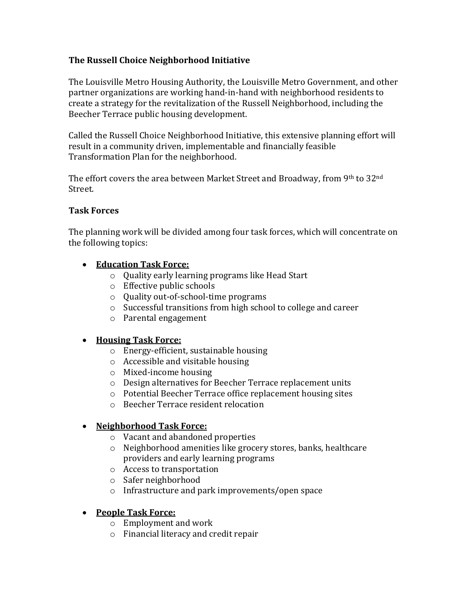### **The Russell Choice Neighborhood Initiative**

The Louisville Metro Housing Authority, the Louisville Metro Government, and other partner organizations are working hand-in-hand with neighborhood residents to create a strategy for the revitalization of the Russell Neighborhood, including the Beecher Terrace public housing development.

Called the Russell Choice Neighborhood Initiative, this extensive planning effort will result in a community driven, implementable and financially feasible Transformation Plan for the neighborhood.

The effort covers the area between Market Street and Broadway, from 9th to  $32<sup>nd</sup>$ Street.

#### **Task Forces**

The planning work will be divided among four task forces, which will concentrate on the following topics:

#### **Education Task Force:**

- o Quality early learning programs like Head Start
- o Effective public schools
- o Quality out-of-school-time programs
- o Successful transitions from high school to college and career
- o Parental engagement

# **Housing Task Force:**

- o Energy-efficient, sustainable housing
- o Accessible and visitable housing
- o Mixed-income housing
- o Design alternatives for Beecher Terrace replacement units
- o Potential Beecher Terrace office replacement housing sites
- o Beecher Terrace resident relocation

# **Neighborhood Task Force:**

- o Vacant and abandoned properties
- o Neighborhood amenities like grocery stores, banks, healthcare providers and early learning programs
- o Access to transportation
- o Safer neighborhood
- o Infrastructure and park improvements/open space

# **People Task Force:**

- o Employment and work
- o Financial literacy and credit repair